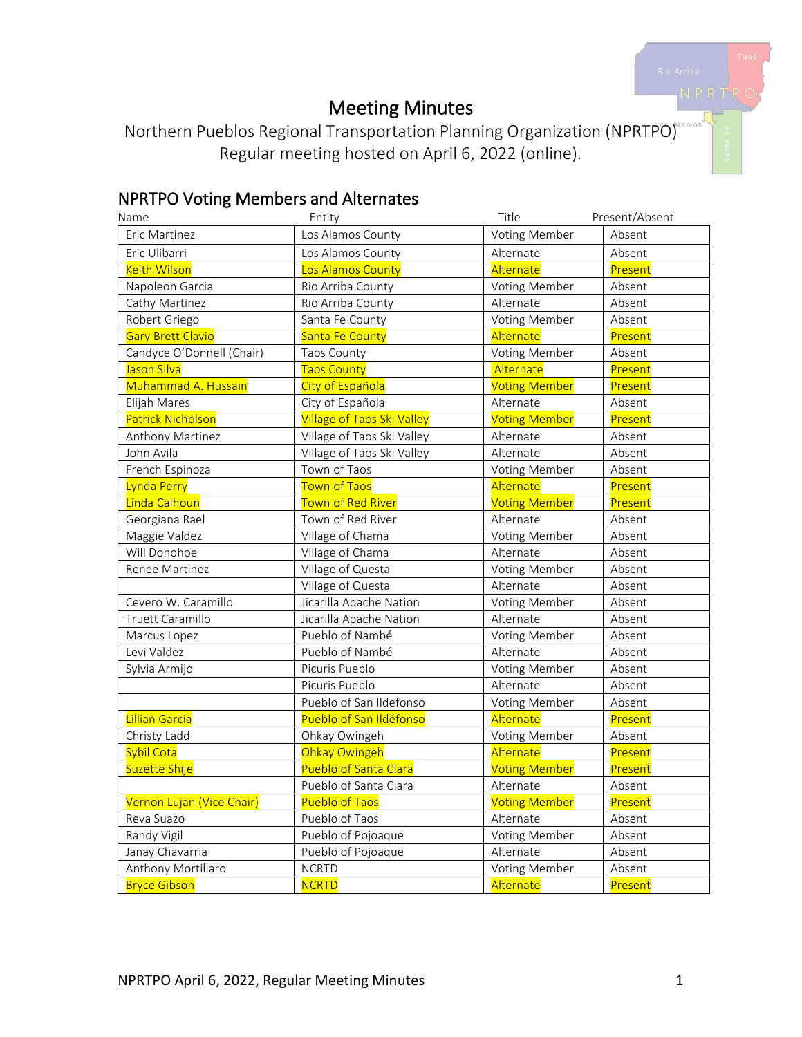# Meeting Minutes

Northern Pueblos Regional Transportation Planning Organization (NPRTPO) Regular meeting hosted on April 6, 2022 (online).

# NPRTPO Voting Members and Alternates

| Name                      | Entity                            | Title                | Present/Absent |
|---------------------------|-----------------------------------|----------------------|----------------|
| Eric Martinez             | Los Alamos County                 | Voting Member        | Absent         |
| Eric Ulibarri             | Los Alamos County                 | Alternate            | Absent         |
| <b>Keith Wilson</b>       | Los Alamos County                 | Alternate            | Present        |
| Napoleon Garcia           | Rio Arriba County                 | Voting Member        | Absent         |
| Cathy Martinez            | Rio Arriba County                 | Alternate            | Absent         |
| Robert Griego             | Santa Fe County                   | Voting Member        | Absent         |
| <b>Gary Brett Clavio</b>  | Santa Fe County                   | Alternate            | Present        |
| Candyce O'Donnell (Chair) | Taos County                       | Voting Member        | Absent         |
| Jason Silva               | <b>Taos County</b>                | Alternate            | Present        |
| Muhammad A. Hussain       | City of Española                  | <b>Voting Member</b> | Present        |
| Elijah Mares              | City of Española                  | Alternate            | Absent         |
| <b>Patrick Nicholson</b>  | <b>Village of Taos Ski Valley</b> | <b>Voting Member</b> | Present        |
| Anthony Martinez          | Village of Taos Ski Valley        | Alternate            | Absent         |
| John Avila                | Village of Taos Ski Valley        | Alternate            | Absent         |
| French Espinoza           | Town of Taos                      | <b>Voting Member</b> | Absent         |
| Lynda Perry               | <b>Town of Taos</b>               | Alternate            | Present        |
| Linda Calhoun             | <b>Town of Red River</b>          | <b>Voting Member</b> | Present        |
| Georgiana Rael            | Town of Red River                 | Alternate            | Absent         |
| Maggie Valdez             | Village of Chama                  | Voting Member        | Absent         |
| Will Donohoe              | Village of Chama                  | Alternate            | Absent         |
| Renee Martinez            | Village of Questa                 | Voting Member        | Absent         |
|                           | Village of Questa                 | Alternate            | Absent         |
| Cevero W. Caramillo       | Jicarilla Apache Nation           | Voting Member        | Absent         |
| Truett Caramillo          | Jicarilla Apache Nation           | Alternate            | Absent         |
| Marcus Lopez              | Pueblo of Nambé                   | Voting Member        | Absent         |
| Levi Valdez               | Pueblo of Nambé                   | Alternate            | Absent         |
| Sylvia Armijo             | Picuris Pueblo                    | Voting Member        | Absent         |
|                           | Picuris Pueblo                    | Alternate            | Absent         |
|                           | Pueblo of San Ildefonso           | Voting Member        | Absent         |
| <b>Lillian Garcia</b>     | Pueblo of San Ildefonso           | Alternate            | Present        |
| Christy Ladd              | Ohkay Owingeh                     | Voting Member        | Absent         |
| Sybil Cota                | Ohkay Owingeh                     | Alternate            | Present        |
| Suzette Shije             | Pueblo of Santa Clara             | <b>Voting Member</b> | Present        |
|                           | Pueblo of Santa Clara             | Alternate            | Absent         |
| Vernon Lujan (Vice Chair) | <b>Pueblo of Taos</b>             | <b>Voting Member</b> | Present        |
| Reva Suazo                | Pueblo of Taos                    | Alternate            | Absent         |
| Randy Vigil               | Pueblo of Pojoaque                | Voting Member        | Absent         |
| Janay Chavarria           | Pueblo of Pojoaque                | Alternate            | Absent         |
| Anthony Mortillaro        | <b>NCRTD</b>                      | Voting Member        | Absent         |
| <b>Bryce Gibson</b>       | <b>NCRTD</b>                      | Alternate            | Present        |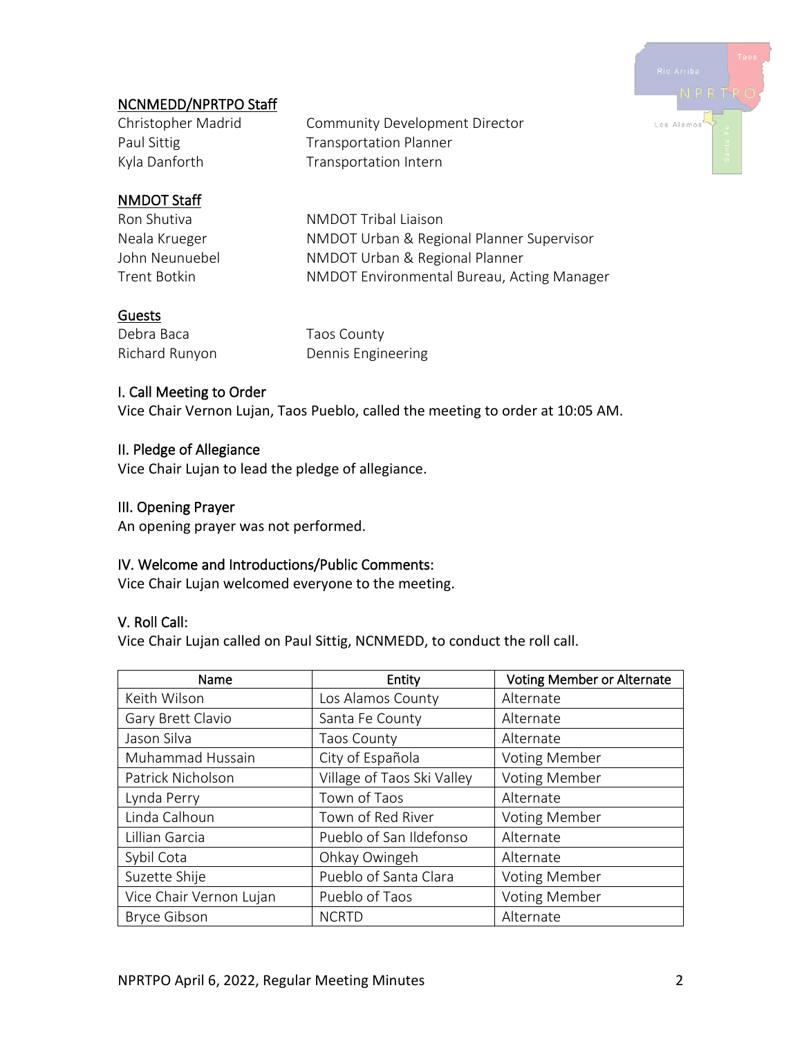

# NCNMEDD/NPRTPO Staff

Christopher Madrid Community Development Director Paul Sittig Transportation Planner Kyla Danforth Transportation Intern

# NMDOT Staff

Ron Shutiva NMDOT Tribal Liaison Neala Krueger NMDOT Urban & Regional Planner Supervisor John Neunuebel NMDOT Urban & Regional Planner Trent Botkin NMDOT Environmental Bureau, Acting Manager

## Guests

Debra Baca Taos County

Richard Runyon Dennis Engineering

#### I. Call Meeting to Order

Vice Chair Vernon Lujan, Taos Pueblo, called the meeting to order at 10:05 AM.

#### II. Pledge of Allegiance

Vice Chair Lujan to lead the pledge of allegiance.

#### III. Opening Prayer

An opening prayer was not performed.

## IV. Welcome and Introductions/Public Comments:

Vice Chair Lujan welcomed everyone to the meeting.

#### V. Roll Call:

Vice Chair Lujan called on Paul Sittig, NCNMEDD, to conduct the roll call.

| Name                    | Entity                     | <b>Voting Member or Alternate</b> |
|-------------------------|----------------------------|-----------------------------------|
| Keith Wilson            | Los Alamos County          | Alternate                         |
| Gary Brett Clavio       | Santa Fe County            | Alternate                         |
| Jason Silva             | Taos County                | Alternate                         |
| Muhammad Hussain        | City of Española           | <b>Voting Member</b>              |
| Patrick Nicholson       | Village of Taos Ski Valley | <b>Voting Member</b>              |
| Lynda Perry             | Town of Taos               | Alternate                         |
| Linda Calhoun           | Town of Red River          | <b>Voting Member</b>              |
| Lillian Garcia          | Pueblo of San Ildefonso    | Alternate                         |
| Sybil Cota              | Ohkay Owingeh              | Alternate                         |
| Suzette Shije           | Pueblo of Santa Clara      | <b>Voting Member</b>              |
| Vice Chair Vernon Lujan | Pueblo of Taos             | <b>Voting Member</b>              |
| <b>Bryce Gibson</b>     | <b>NCRTD</b>               | Alternate                         |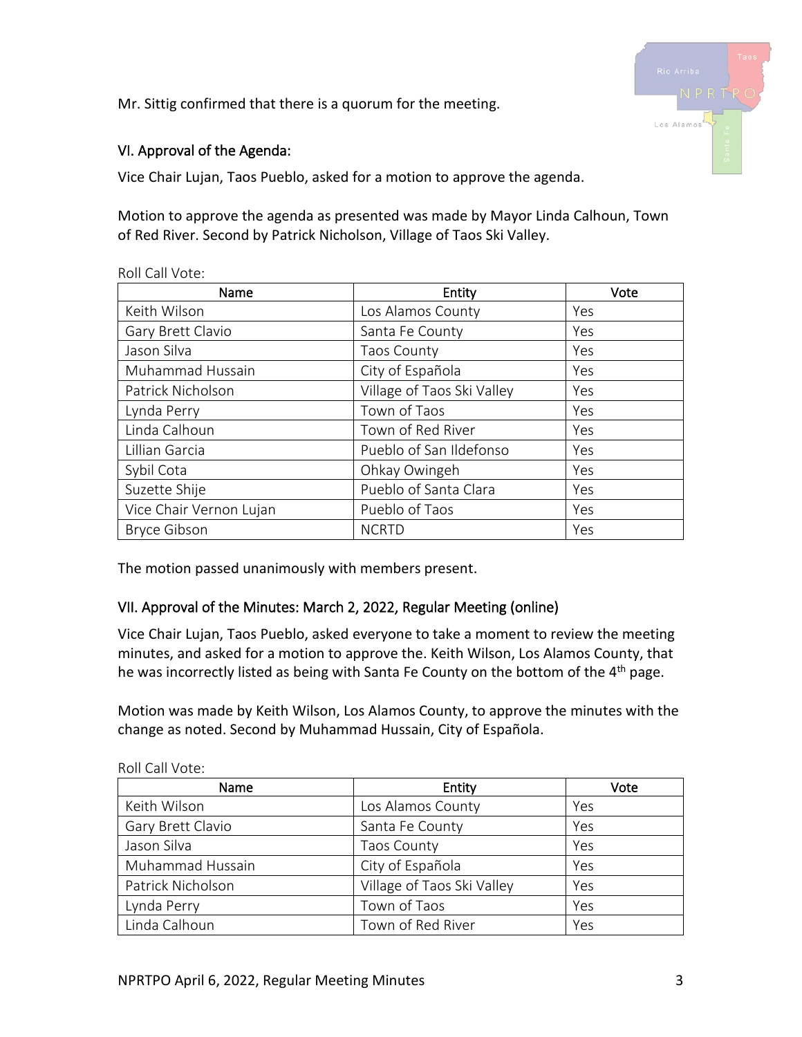Mr. Sittig confirmed that there is a quorum for the meeting.



## VI. Approval of the Agenda:

Vice Chair Lujan, Taos Pueblo, asked for a motion to approve the agenda.

Motion to approve the agenda as presented was made by Mayor Linda Calhoun, Town of Red River. Second by Patrick Nicholson, Village of Taos Ski Valley.

| Name                    | Entity                     | Vote |
|-------------------------|----------------------------|------|
| Keith Wilson            | Los Alamos County          | Yes  |
| Gary Brett Clavio       | Santa Fe County            | Yes  |
| Jason Silva             | <b>Taos County</b>         | Yes  |
| Muhammad Hussain        | City of Española           | Yes  |
| Patrick Nicholson       | Village of Taos Ski Valley | Yes  |
| Lynda Perry             | Town of Taos               | Yes  |
| Linda Calhoun           | Town of Red River          | Yes  |
| Lillian Garcia          | Pueblo of San Ildefonso    | Yes  |
| Sybil Cota              | Ohkay Owingeh              | Yes  |
| Suzette Shije           | Pueblo of Santa Clara      | Yes  |
| Vice Chair Vernon Lujan | Pueblo of Taos             | Yes  |
| <b>Bryce Gibson</b>     | <b>NCRTD</b>               | Yes  |

Roll Call Vote:

The motion passed unanimously with members present.

# VII. Approval of the Minutes: March 2, 2022, Regular Meeting (online)

Vice Chair Lujan, Taos Pueblo, asked everyone to take a moment to review the meeting minutes, and asked for a motion to approve the. Keith Wilson, Los Alamos County, that he was incorrectly listed as being with Santa Fe County on the bottom of the 4<sup>th</sup> page.

Motion was made by Keith Wilson, Los Alamos County, to approve the minutes with the change as noted. Second by Muhammad Hussain, City of Española.

| Name              | Entity                     | Vote |  |  |  |  |
|-------------------|----------------------------|------|--|--|--|--|
| Keith Wilson      | Los Alamos County          | Yes  |  |  |  |  |
| Gary Brett Clavio | Santa Fe County            | Yes  |  |  |  |  |
| Jason Silva       | Taos County                | Yes  |  |  |  |  |
| Muhammad Hussain  | City of Española           | Yes  |  |  |  |  |
| Patrick Nicholson | Village of Taos Ski Valley | Yes  |  |  |  |  |
| Lynda Perry       | Town of Taos               | Yes  |  |  |  |  |
| Linda Calhoun     | Town of Red River          | Yes  |  |  |  |  |

Roll Call Vote: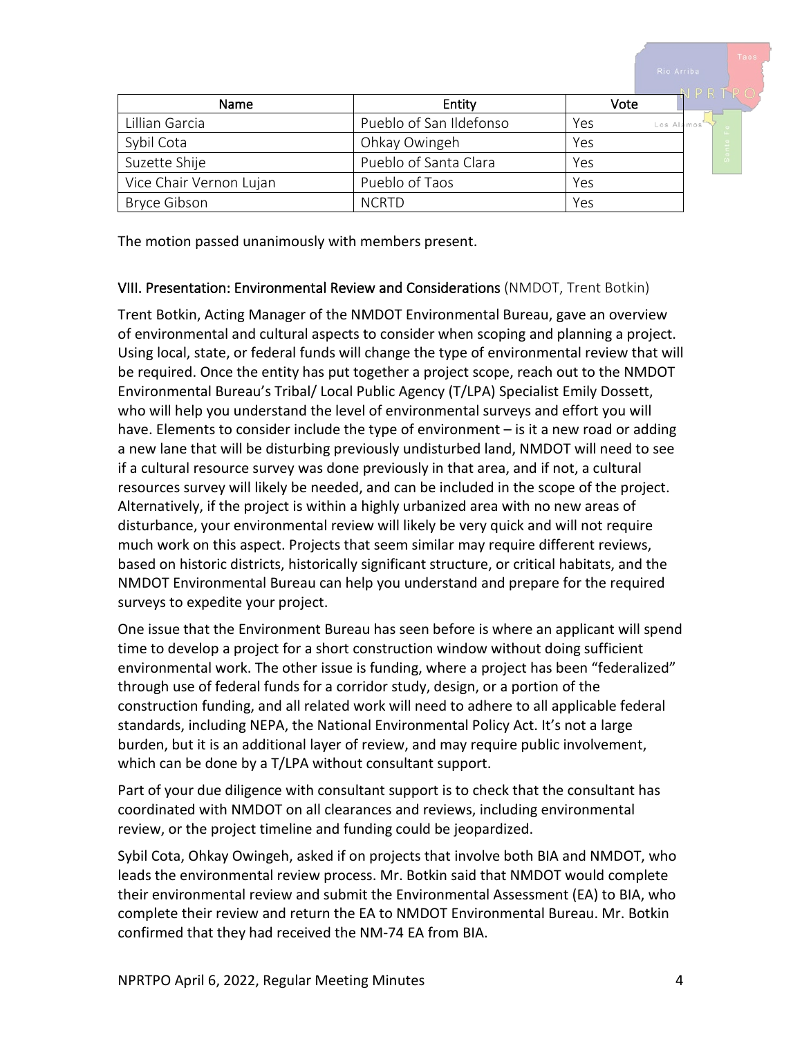|                         |                         |                   | NPRTRO |
|-------------------------|-------------------------|-------------------|--------|
| Name                    | Entity                  | Vote              |        |
| Lillian Garcia          | Pueblo of San Ildefonso | Yes<br>Los Alamos | ட      |
| Sybil Cota              | Ohkay Owingeh           | Yes               | Santa  |
| Suzette Shije           | Pueblo of Santa Clara   | Yes               |        |
| Vice Chair Vernon Lujan | Pueblo of Taos          | Yes               |        |
| <b>Bryce Gibson</b>     | <b>NCRTD</b>            | Yes               |        |

The motion passed unanimously with members present.

## VIII. Presentation: Environmental Review and Considerations (NMDOT, Trent Botkin)

Trent Botkin, Acting Manager of the NMDOT Environmental Bureau, gave an overview of environmental and cultural aspects to consider when scoping and planning a project. Using local, state, or federal funds will change the type of environmental review that will be required. Once the entity has put together a project scope, reach out to the NMDOT Environmental Bureau's Tribal/ Local Public Agency (T/LPA) Specialist Emily Dossett, who will help you understand the level of environmental surveys and effort you will have. Elements to consider include the type of environment – is it a new road or adding a new lane that will be disturbing previously undisturbed land, NMDOT will need to see if a cultural resource survey was done previously in that area, and if not, a cultural resources survey will likely be needed, and can be included in the scope of the project. Alternatively, if the project is within a highly urbanized area with no new areas of disturbance, your environmental review will likely be very quick and will not require much work on this aspect. Projects that seem similar may require different reviews, based on historic districts, historically significant structure, or critical habitats, and the NMDOT Environmental Bureau can help you understand and prepare for the required surveys to expedite your project.

One issue that the Environment Bureau has seen before is where an applicant will spend time to develop a project for a short construction window without doing sufficient environmental work. The other issue is funding, where a project has been "federalized" through use of federal funds for a corridor study, design, or a portion of the construction funding, and all related work will need to adhere to all applicable federal standards, including NEPA, the National Environmental Policy Act. It's not a large burden, but it is an additional layer of review, and may require public involvement, which can be done by a T/LPA without consultant support.

Part of your due diligence with consultant support is to check that the consultant has coordinated with NMDOT on all clearances and reviews, including environmental review, or the project timeline and funding could be jeopardized.

Sybil Cota, Ohkay Owingeh, asked if on projects that involve both BIA and NMDOT, who leads the environmental review process. Mr. Botkin said that NMDOT would complete their environmental review and submit the Environmental Assessment (EA) to BIA, who complete their review and return the EA to NMDOT Environmental Bureau. Mr. Botkin confirmed that they had received the NM-74 EA from BIA.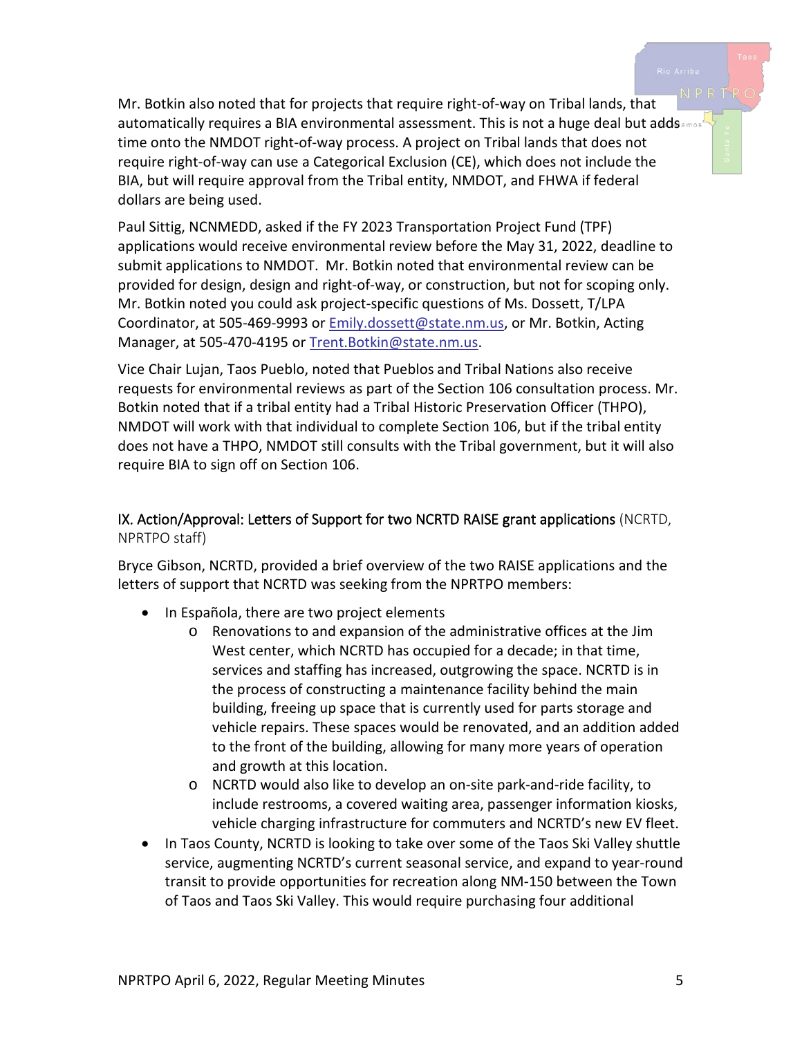Mr. Botkin also noted that for projects that require right-of-way on Tribal lands, that automatically requires a BIA environmental assessment. This is not a huge deal but adds........ time onto the NMDOT right-of-way process. A project on Tribal lands that does not require right-of-way can use a Categorical Exclusion (CE), which does not include the BIA, but will require approval from the Tribal entity, NMDOT, and FHWA if federal

Paul Sittig, NCNMEDD, asked if the FY 2023 Transportation Project Fund (TPF) applications would receive environmental review before the May 31, 2022, deadline to submit applications to NMDOT. Mr. Botkin noted that environmental review can be provided for design, design and right-of-way, or construction, but not for scoping only. Mr. Botkin noted you could ask project-specific questions of Ms. Dossett, T/LPA Coordinator, at 505-469-9993 or **Emily.dossett@state.nm.us, or Mr. Botkin**, Acting Manager, at 505-470-4195 or Trent. Botkin@state.nm.us.

Vice Chair Lujan, Taos Pueblo, noted that Pueblos and Tribal Nations also receive requests for environmental reviews as part of the Section 106 consultation process. Mr. Botkin noted that if a tribal entity had a Tribal Historic Preservation Officer (THPO), NMDOT will work with that individual to complete Section 106, but if the tribal entity does not have a THPO, NMDOT still consults with the Tribal government, but it will also require BIA to sign off on Section 106.

## IX. Action/Approval: Letters of Support for two NCRTD RAISE grant applications (NCRTD, NPRTPO staff)

Bryce Gibson, NCRTD, provided a brief overview of the two RAISE applications and the letters of support that NCRTD was seeking from the NPRTPO members:

• In Española, there are two project elements

dollars are being used.

- o Renovations to and expansion of the administrative offices at the Jim West center, which NCRTD has occupied for a decade; in that time, services and staffing has increased, outgrowing the space. NCRTD is in the process of constructing a maintenance facility behind the main building, freeing up space that is currently used for parts storage and vehicle repairs. These spaces would be renovated, and an addition added to the front of the building, allowing for many more years of operation and growth at this location.
- o NCRTD would also like to develop an on-site park-and-ride facility, to include restrooms, a covered waiting area, passenger information kiosks, vehicle charging infrastructure for commuters and NCRTD's new EV fleet.
- In Taos County, NCRTD is looking to take over some of the Taos Ski Valley shuttle service, augmenting NCRTD's current seasonal service, and expand to year-round transit to provide opportunities for recreation along NM-150 between the Town of Taos and Taos Ski Valley. This would require purchasing four additional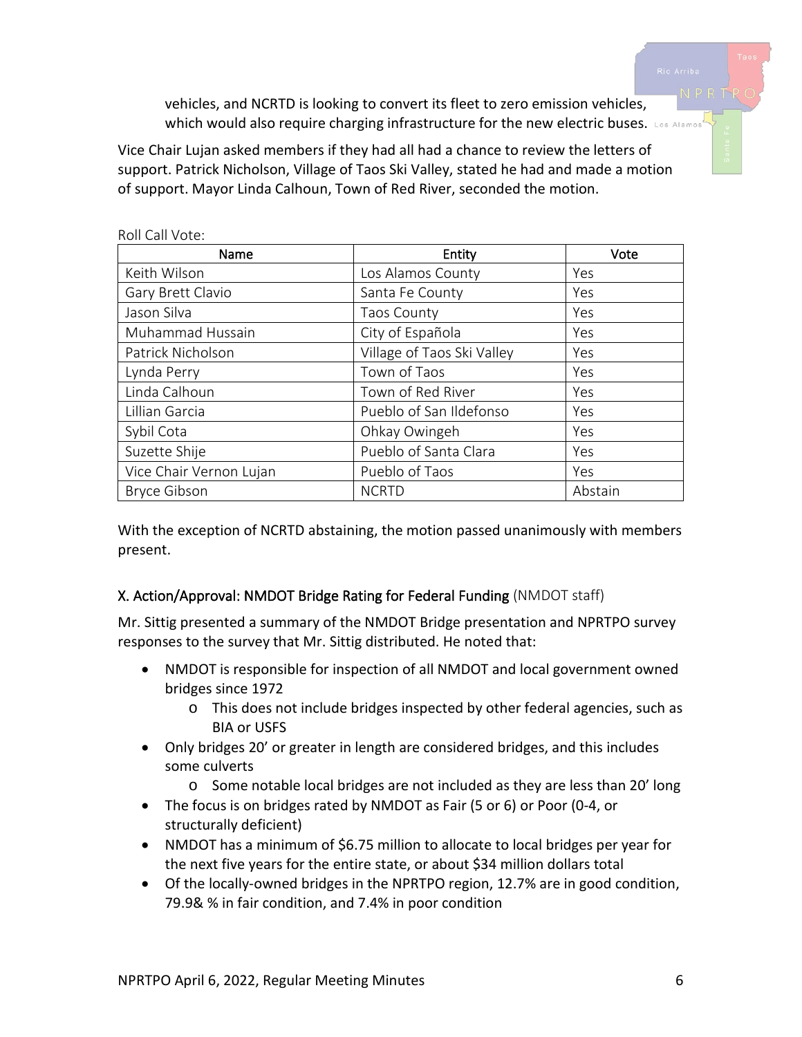vehicles, and NCRTD is looking to convert its fleet to zero emission vehicles, Which would also require charging infrastructure for the new electric buses. Los Alamos

Vice Chair Lujan asked members if they had all had a chance to review the letters of support. Patrick Nicholson, Village of Taos Ski Valley, stated he had and made a motion of support. Mayor Linda Calhoun, Town of Red River, seconded the motion.

| Name                    | Entity                     | Vote    |
|-------------------------|----------------------------|---------|
| Keith Wilson            | Los Alamos County          | Yes     |
| Gary Brett Clavio       | Santa Fe County            | Yes     |
| Jason Silva             | <b>Taos County</b>         | Yes     |
| Muhammad Hussain        | City of Española           | Yes     |
| Patrick Nicholson       | Village of Taos Ski Valley | Yes     |
| Lynda Perry             | Town of Taos               | Yes     |
| Linda Calhoun           | Town of Red River          | Yes     |
| Lillian Garcia          | Pueblo of San Ildefonso    | Yes     |
| Sybil Cota              | Ohkay Owingeh              | Yes     |
| Suzette Shije           | Pueblo of Santa Clara      | Yes     |
| Vice Chair Vernon Lujan | Pueblo of Taos             | Yes     |
| <b>Bryce Gibson</b>     | <b>NCRTD</b>               | Abstain |

Roll Call Vote:

With the exception of NCRTD abstaining, the motion passed unanimously with members present.

# X. Action/Approval: NMDOT Bridge Rating for Federal Funding (NMDOT staff)

Mr. Sittig presented a summary of the NMDOT Bridge presentation and NPRTPO survey responses to the survey that Mr. Sittig distributed. He noted that:

- NMDOT is responsible for inspection of all NMDOT and local government owned bridges since 1972
	- o This does not include bridges inspected by other federal agencies, such as BIA or USFS
- Only bridges 20' or greater in length are considered bridges, and this includes some culverts
	- o Some notable local bridges are not included as they are less than 20' long
- The focus is on bridges rated by NMDOT as Fair (5 or 6) or Poor (0-4, or structurally deficient)
- NMDOT has a minimum of \$6.75 million to allocate to local bridges per year for the next five years for the entire state, or about \$34 million dollars total
- Of the locally-owned bridges in the NPRTPO region, 12.7% are in good condition, 79.9& % in fair condition, and 7.4% in poor condition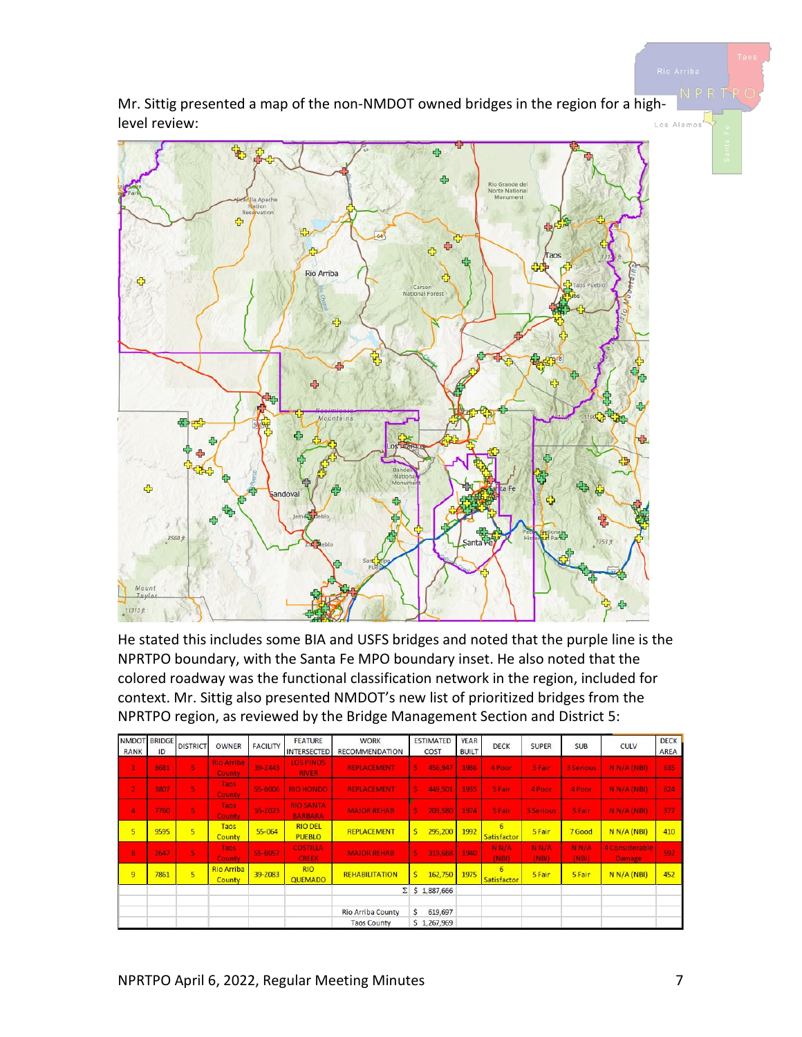Mr. Sittig presented a map of the non-NMDOT owned bridges in the region for a highlevel review: .<br>.os Alamos



He stated this includes some BIA and USFS bridges and noted that the purple line is the NPRTPO boundary, with the Santa Fe MPO boundary inset. He also noted that the colored roadway was the functional classification network in the region, included for context. Mr. Sittig also presented NMDOT's new list of prioritized bridges from the NPRTPO region, as reviewed by the Bridge Management Section and District 5:

| <b>RANK</b>             | <b>NMDOT BRIDGE</b><br>ID | <b>DISTRICT</b>         | <b>OWNER</b>                       | <b>FACILITY</b> | <b>FEATURE</b><br><b>INTERSECTED</b> | <b>WORK</b><br><b>RECOMMENDATION</b> | <b>ESTIMATED</b><br>COST | <b>YEAR</b><br><b>BUILT</b> | <b>DECK</b>      | <b>SUPER</b>     | <b>SUB</b>                 | <b>CULV</b>                     | <b>DECK</b><br>AREA |
|-------------------------|---------------------------|-------------------------|------------------------------------|-----------------|--------------------------------------|--------------------------------------|--------------------------|-----------------------------|------------------|------------------|----------------------------|---------------------------------|---------------------|
| $\blacktriangleleft$    | 8681                      | 5                       | <b>Rio Arriba</b><br><b>County</b> | 39-2443         | <b>LOS PINOS</b><br><b>RIVER</b>     | <b>REPLACEMENT</b>                   | s<br>456,947             | 1986                        | 4 Poor           | 5 Fair           | <b>3 Serious</b>           | N N/A (NBI)                     | 635                 |
| $\overline{\mathbf{z}}$ | 3807                      | 5                       | Taos<br><b>County</b>              | 55-B006         | <b>RIO HONDO</b>                     | <b>REPLACEMENT</b>                   | 3<br>449,501             | 1935                        | 5 Fair           | 4 Poor           | 4 Poor                     | N N/A (NBI)                     | 624                 |
| $\overline{\mathbf{a}}$ | 7760                      | G)                      | Taos<br><b>County</b>              | 55-2023         | <b>RIO SANTA</b><br><b>BARBARA</b>   | <b>MAJOR REHAB</b>                   | \$<br>203,580            | 1974                        | 5 Fair           | <b>3 Serious</b> | <b>SFair</b>               | N N/A (NB)                      | 377                 |
| 5                       | 9595                      | 5                       | Taos<br><b>County</b>              | 55-064          | <b>RIO DEL</b><br><b>PUEBLO</b>      | <b>REPLACEMENT</b>                   | \$<br>295,200            | 1992                        | 6<br>Satisfactor | 5 Fair           | 7 Good                     | N N/A (NBI)                     | 410                 |
| $\bf{8}$                | 2647                      | G.                      | <b>Taos</b><br><b>County</b>       | 55-B057         | <b>COSTILLA</b><br><b>CREEK</b>      | <b>MAJOR REHAB</b>                   | s<br>319,688             | 1940                        | N N/A<br>(NBI)   | N N/A<br>(NBI)   | N <sub>N</sub> /A<br>(NBI) | 4 Considerable<br><b>Damage</b> | 592                 |
| $\overline{9}$          | 7861                      | $\overline{\mathbf{5}}$ | <b>Rio Arriba</b><br><b>County</b> | 39-Z083         | <b>RIO</b><br><b>QUEMADO</b>         | <b>REHABILITATION</b>                | Ś.<br>162,750            | 1975                        | 6<br>Satisfactor | 5 Fair           | 5 Fair                     | N N/A (NBI)                     | 452                 |
|                         |                           |                         |                                    |                 |                                      |                                      | $\Sigma$ \$ 1,887,666    |                             |                  |                  |                            |                                 |                     |
|                         |                           |                         |                                    |                 |                                      | <b>Rio Arriba County</b>             | \$<br>619,697            |                             |                  |                  |                            |                                 |                     |
|                         |                           |                         |                                    |                 |                                      | <b>Taos County</b>                   | \$1,267,969              |                             |                  |                  |                            |                                 |                     |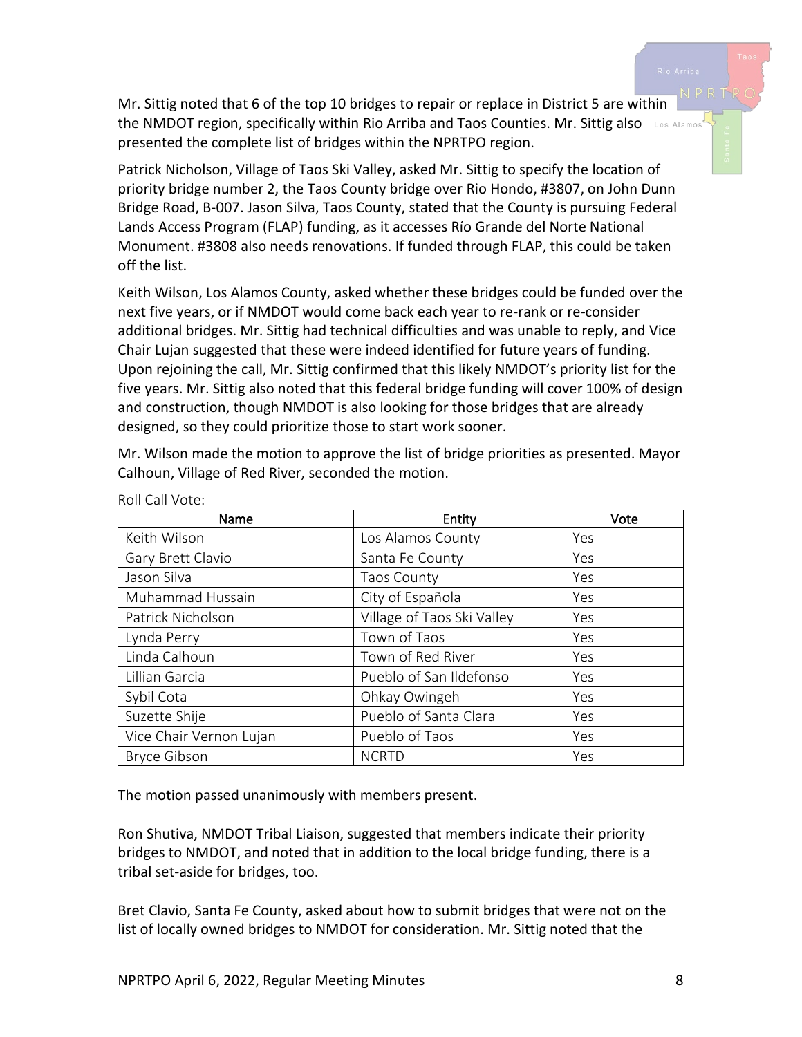Mr. Sittig noted that 6 of the top 10 bridges to repair or replace in District 5 are within the NMDOT region, specifically within Rio Arriba and Taos Counties. Mr. Sittig also Los Alamos presented the complete list of bridges within the NPRTPO region.

Patrick Nicholson, Village of Taos Ski Valley, asked Mr. Sittig to specify the location of priority bridge number 2, the Taos County bridge over Rio Hondo, #3807, on John Dunn Bridge Road, B-007. Jason Silva, Taos County, stated that the County is pursuing Federal Lands Access Program (FLAP) funding, as it accesses Río Grande del Norte National Monument. #3808 also needs renovations. If funded through FLAP, this could be taken off the list.

Keith Wilson, Los Alamos County, asked whether these bridges could be funded over the next five years, or if NMDOT would come back each year to re-rank or re-consider additional bridges. Mr. Sittig had technical difficulties and was unable to reply, and Vice Chair Lujan suggested that these were indeed identified for future years of funding. Upon rejoining the call, Mr. Sittig confirmed that this likely NMDOT's priority list for the five years. Mr. Sittig also noted that this federal bridge funding will cover 100% of design and construction, though NMDOT is also looking for those bridges that are already designed, so they could prioritize those to start work sooner.

Mr. Wilson made the motion to approve the list of bridge priorities as presented. Mayor Calhoun, Village of Red River, seconded the motion.

| Name                    | Entity                     | Vote |
|-------------------------|----------------------------|------|
| Keith Wilson            | Los Alamos County          | Yes  |
| Gary Brett Clavio       | Santa Fe County            | Yes  |
| Jason Silva             | <b>Taos County</b>         | Yes  |
| Muhammad Hussain        | City of Española           | Yes  |
| Patrick Nicholson       | Village of Taos Ski Valley | Yes  |
| Lynda Perry             | Town of Taos               | Yes  |
| Linda Calhoun           | Town of Red River          | Yes  |
| Lillian Garcia          | Pueblo of San Ildefonso    | Yes  |
| Sybil Cota              | Ohkay Owingeh              | Yes  |
| Suzette Shije           | Pueblo of Santa Clara      | Yes  |
| Vice Chair Vernon Lujan | Pueblo of Taos             | Yes  |
| <b>Bryce Gibson</b>     | <b>NCRTD</b>               | Yes  |

Roll Call Vote:

The motion passed unanimously with members present.

Ron Shutiva, NMDOT Tribal Liaison, suggested that members indicate their priority bridges to NMDOT, and noted that in addition to the local bridge funding, there is a tribal set-aside for bridges, too.

Bret Clavio, Santa Fe County, asked about how to submit bridges that were not on the list of locally owned bridges to NMDOT for consideration. Mr. Sittig noted that the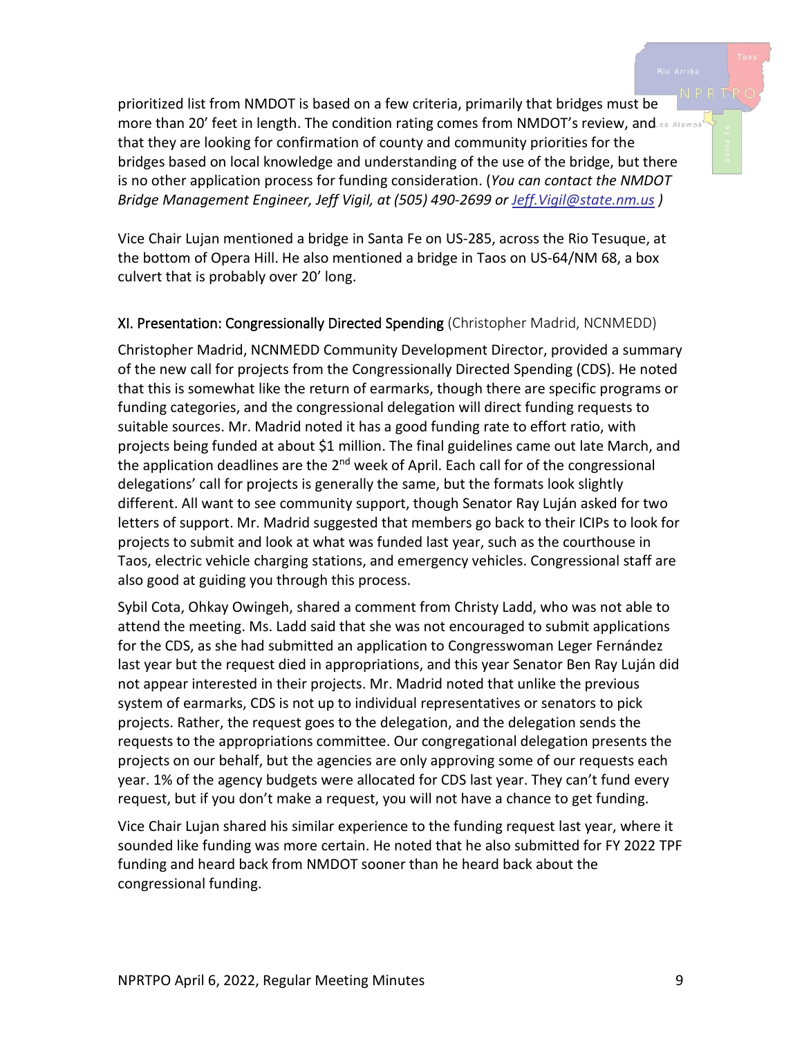prioritized list from NMDOT is based on a few criteria, primarily that bridges must be more than 20' feet in length. The condition rating comes from NMDOT's review, and os Alamos that they are looking for confirmation of county and community priorities for the bridges based on local knowledge and understanding of the use of the bridge, but there is no other application process for funding consideration. (*You can contact the NMDOT Bridge Management Engineer, Jeff Vigil, at (505) 490-2699 or [Jeff.Vigil@state.nm.us](mailto:Jeff.Vigil@state.nm.us) )*

Vice Chair Lujan mentioned a bridge in Santa Fe on US-285, across the Rio Tesuque, at the bottom of Opera Hill. He also mentioned a bridge in Taos on US-64/NM 68, a box culvert that is probably over 20' long.

#### XI. Presentation: Congressionally Directed Spending (Christopher Madrid, NCNMEDD)

Christopher Madrid, NCNMEDD Community Development Director, provided a summary of the new call for projects from the Congressionally Directed Spending (CDS). He noted that this is somewhat like the return of earmarks, though there are specific programs or funding categories, and the congressional delegation will direct funding requests to suitable sources. Mr. Madrid noted it has a good funding rate to effort ratio, with projects being funded at about \$1 million. The final guidelines came out late March, and the application deadlines are the 2<sup>nd</sup> week of April. Each call for of the congressional delegations' call for projects is generally the same, but the formats look slightly different. All want to see community support, though Senator Ray Luján asked for two letters of support. Mr. Madrid suggested that members go back to their ICIPs to look for projects to submit and look at what was funded last year, such as the courthouse in Taos, electric vehicle charging stations, and emergency vehicles. Congressional staff are also good at guiding you through this process.

Sybil Cota, Ohkay Owingeh, shared a comment from Christy Ladd, who was not able to attend the meeting. Ms. Ladd said that she was not encouraged to submit applications for the CDS, as she had submitted an application to Congresswoman Leger Fernández last year but the request died in appropriations, and this year Senator Ben Ray Luján did not appear interested in their projects. Mr. Madrid noted that unlike the previous system of earmarks, CDS is not up to individual representatives or senators to pick projects. Rather, the request goes to the delegation, and the delegation sends the requests to the appropriations committee. Our congregational delegation presents the projects on our behalf, but the agencies are only approving some of our requests each year. 1% of the agency budgets were allocated for CDS last year. They can't fund every request, but if you don't make a request, you will not have a chance to get funding.

Vice Chair Lujan shared his similar experience to the funding request last year, where it sounded like funding was more certain. He noted that he also submitted for FY 2022 TPF funding and heard back from NMDOT sooner than he heard back about the congressional funding.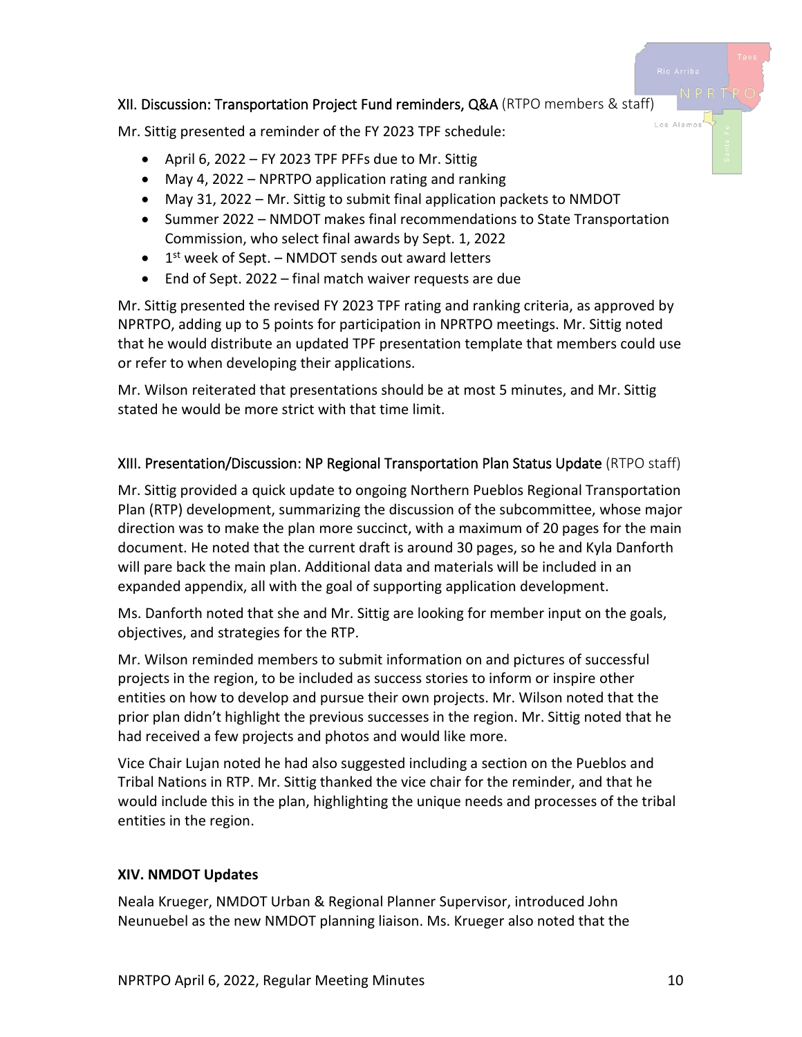## XII. Discussion: Transportation Project Fund reminders, Q&A (RTPO members & staff)

Mr. Sittig presented a reminder of the FY 2023 TPF schedule:

- April 6, 2022 FY 2023 TPF PFFs due to Mr. Sittig
- May 4, 2022 NPRTPO application rating and ranking
- May 31, 2022 Mr. Sittig to submit final application packets to NMDOT
- Summer 2022 NMDOT makes final recommendations to State Transportation Commission, who select final awards by Sept. 1, 2022
- $\bullet$  1<sup>st</sup> week of Sept. NMDOT sends out award letters
- End of Sept. 2022 final match waiver requests are due

Mr. Sittig presented the revised FY 2023 TPF rating and ranking criteria, as approved by NPRTPO, adding up to 5 points for participation in NPRTPO meetings. Mr. Sittig noted that he would distribute an updated TPF presentation template that members could use or refer to when developing their applications.

Mr. Wilson reiterated that presentations should be at most 5 minutes, and Mr. Sittig stated he would be more strict with that time limit.

## XIII. Presentation/Discussion: NP Regional Transportation Plan Status Update (RTPO staff)

Mr. Sittig provided a quick update to ongoing Northern Pueblos Regional Transportation Plan (RTP) development, summarizing the discussion of the subcommittee, whose major direction was to make the plan more succinct, with a maximum of 20 pages for the main document. He noted that the current draft is around 30 pages, so he and Kyla Danforth will pare back the main plan. Additional data and materials will be included in an expanded appendix, all with the goal of supporting application development.

Ms. Danforth noted that she and Mr. Sittig are looking for member input on the goals, objectives, and strategies for the RTP.

Mr. Wilson reminded members to submit information on and pictures of successful projects in the region, to be included as success stories to inform or inspire other entities on how to develop and pursue their own projects. Mr. Wilson noted that the prior plan didn't highlight the previous successes in the region. Mr. Sittig noted that he had received a few projects and photos and would like more.

Vice Chair Lujan noted he had also suggested including a section on the Pueblos and Tribal Nations in RTP. Mr. Sittig thanked the vice chair for the reminder, and that he would include this in the plan, highlighting the unique needs and processes of the tribal entities in the region.

## **XIV. NMDOT Updates**

Neala Krueger, NMDOT Urban & Regional Planner Supervisor, introduced John Neunuebel as the new NMDOT planning liaison. Ms. Krueger also noted that the Los Alamo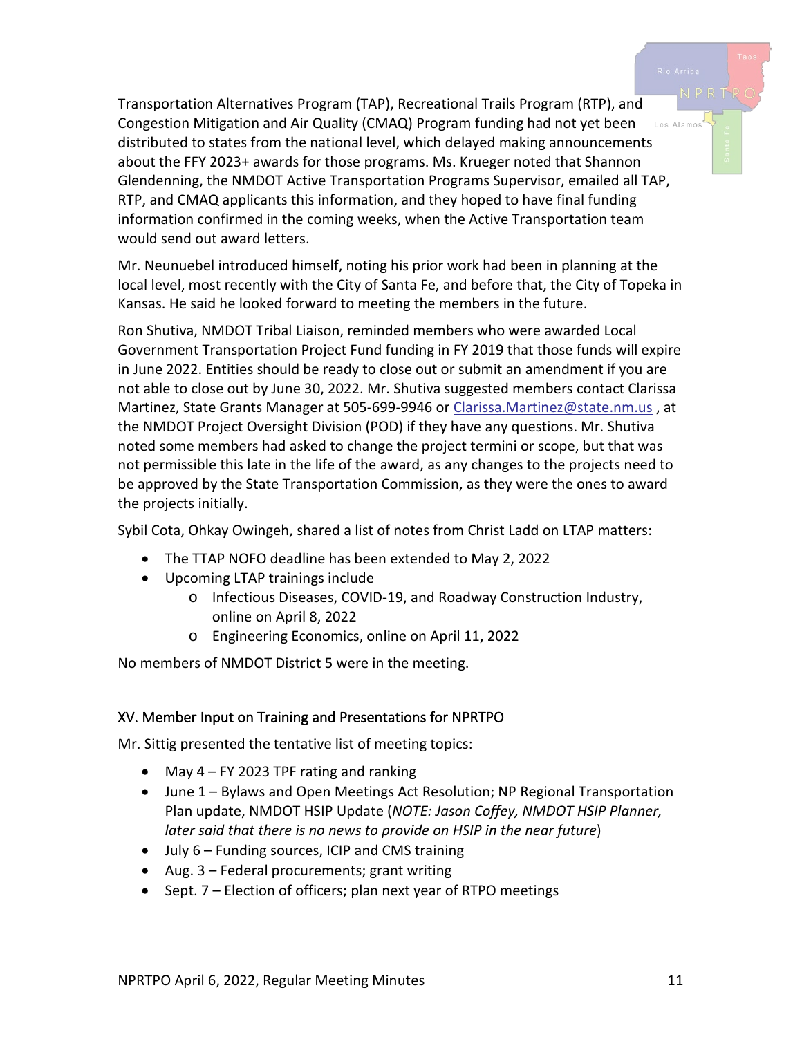Transportation Alternatives Program (TAP), Recreational Trails Program (RTP), and Congestion Mitigation and Air Quality (CMAQ) Program funding had not yet been Los Alamos distributed to states from the national level, which delayed making announcements about the FFY 2023+ awards for those programs. Ms. Krueger noted that Shannon Glendenning, the NMDOT Active Transportation Programs Supervisor, emailed all TAP, RTP, and CMAQ applicants this information, and they hoped to have final funding information confirmed in the coming weeks, when the Active Transportation team would send out award letters.

Mr. Neunuebel introduced himself, noting his prior work had been in planning at the local level, most recently with the City of Santa Fe, and before that, the City of Topeka in Kansas. He said he looked forward to meeting the members in the future.

Ron Shutiva, NMDOT Tribal Liaison, reminded members who were awarded Local Government Transportation Project Fund funding in FY 2019 that those funds will expire in June 2022. Entities should be ready to close out or submit an amendment if you are not able to close out by June 30, 2022. Mr. Shutiva suggested members contact Clarissa Martinez, State Grants Manager at 505-699-9946 or [Clarissa.Martinez@state.nm.us](mailto:Clarissa.Martinez@state.nm.us), at the NMDOT Project Oversight Division (POD) if they have any questions. Mr. Shutiva noted some members had asked to change the project termini or scope, but that was not permissible this late in the life of the award, as any changes to the projects need to be approved by the State Transportation Commission, as they were the ones to award the projects initially.

Sybil Cota, Ohkay Owingeh, shared a list of notes from Christ Ladd on LTAP matters:

- The TTAP NOFO deadline has been extended to May 2, 2022
- Upcoming LTAP trainings include
	- o Infectious Diseases, COVID-19, and Roadway Construction Industry, online on April 8, 2022
	- o Engineering Economics, online on April 11, 2022

No members of NMDOT District 5 were in the meeting.

# XV. Member Input on Training and Presentations for NPRTPO

Mr. Sittig presented the tentative list of meeting topics:

- May  $4$  FY 2023 TPF rating and ranking
- June 1 Bylaws and Open Meetings Act Resolution; NP Regional Transportation Plan update, NMDOT HSIP Update (*NOTE: Jason Coffey, NMDOT HSIP Planner, later said that there is no news to provide on HSIP in the near future*)
- July 6 Funding sources, ICIP and CMS training
- Aug. 3 Federal procurements; grant writing
- Sept. 7 Election of officers; plan next year of RTPO meetings